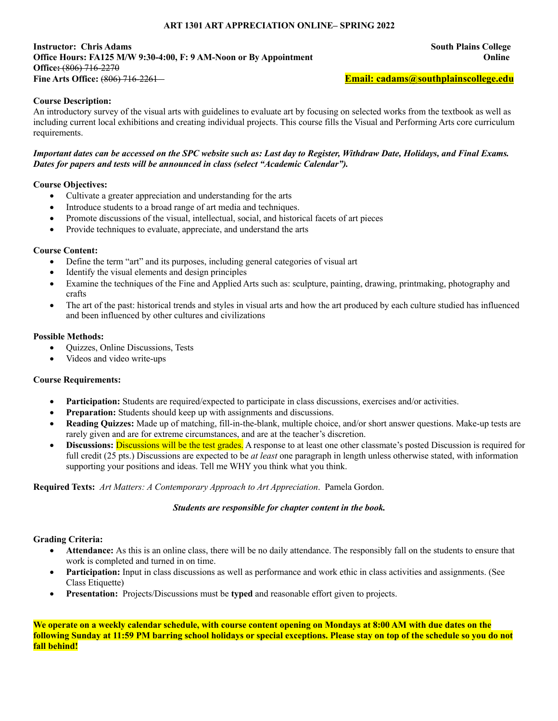### **ART 1301 ART APPRECIATION ONLINE– SPRING 2022**

#### **Instructor: Chris Adams South Plains College Office Hours: FA125 M/W 9:30-4:00, F: 9 AM-Noon or By Appointment Online Office:** (806) 716-2270 **Fine Arts Office:** (806) 716-2261 **Email: cadams@southplainscollege.edu**

### **Course Description:**

An introductory survey of the visual arts with guidelines to evaluate art by focusing on selected works from the textbook as well as including current local exhibitions and creating individual projects. This course fills the Visual and Performing Arts core curriculum requirements.

#### *Important dates can be accessed on the SPC website such as: Last day to Register, Withdraw Date, Holidays, and Final Exams. Dates for papers and tests will be announced in class (select "Academic Calendar").*

### **Course Objectives:**

- Cultivate a greater appreciation and understanding for the arts
- Introduce students to a broad range of art media and techniques.
- Promote discussions of the visual, intellectual, social, and historical facets of art pieces
- Provide techniques to evaluate, appreciate, and understand the arts

### **Course Content:**

- Define the term "art" and its purposes, including general categories of visual art
- Identify the visual elements and design principles
- Examine the techniques of the Fine and Applied Arts such as: sculpture, painting, drawing, printmaking, photography and crafts
- The art of the past: historical trends and styles in visual arts and how the art produced by each culture studied has influenced and been influenced by other cultures and civilizations

# **Possible Methods:**

- Quizzes, Online Discussions, Tests
- Videos and video write-ups

### **Course Requirements:**

- **Participation:** Students are required/expected to participate in class discussions, exercises and/or activities.
- **Preparation:** Students should keep up with assignments and discussions.
- **Reading Quizzes:** Made up of matching, fill-in-the-blank, multiple choice, and/or short answer questions. Make-up tests are rarely given and are for extreme circumstances, and are at the teacher's discretion.
- **Discussions:** Discussions will be the test grades. A response to at least one other classmate's posted Discussion is required for full credit (25 pts.) Discussions are expected to be *at least* one paragraph in length unless otherwise stated, with information supporting your positions and ideas. Tell me WHY you think what you think.

### **Required Texts:** *Art Matters: A Contemporary Approach to Art Appreciation*. Pamela Gordon.

### *Students are responsible for chapter content in the book.*

### **Grading Criteria:**

- **Attendance:** As this is an online class, there will be no daily attendance. The responsibly fall on the students to ensure that work is completed and turned in on time.
- **Participation:** Input in class discussions as well as performance and work ethic in class activities and assignments. (See Class Etiquette)
- **Presentation:** Projects/Discussions must be **typed** and reasonable effort given to projects.

**We operate on a weekly calendar schedule, with course content opening on Mondays at 8:00 AM with due dates on the following Sunday at 11:59 PM barring school holidays or special exceptions. Please stay on top of the schedule so you do not fall behind!**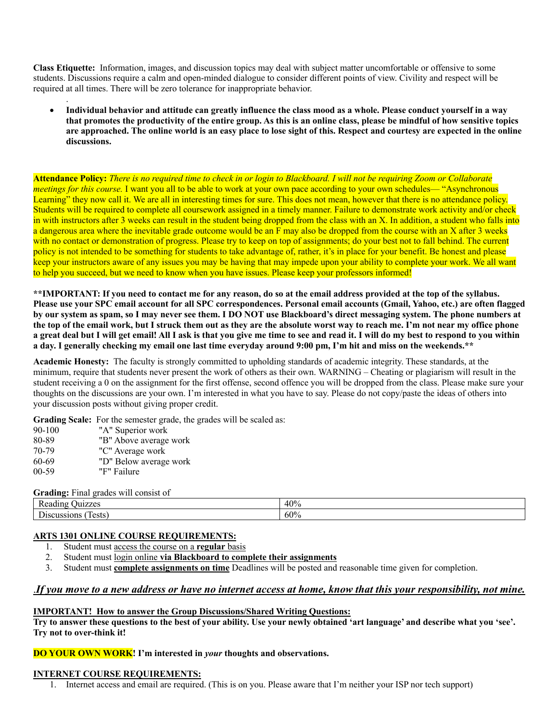**Class Etiquette:** Information, images, and discussion topics may deal with subject matter uncomfortable or offensive to some students. Discussions require a calm and open-minded dialogue to consider different points of view. Civility and respect will be required at all times. There will be zero tolerance for inappropriate behavior.

• **Individual behavior and attitude can greatly influence the class mood as a whole. Please conduct yourself in a way that promotes the productivity of the entire group. As this is an online class, please be mindful of how sensitive topics are approached. The online world is an easy place to lose sight of this. Respect and courtesy are expected in the online discussions.** 

**Attendance Policy:** *There is no required time to check in or login to Blackboard. I will not be requiring Zoom or Collaborate meetings for this course.* I want you all to be able to work at your own pace according to your own schedules— "Asynchronous Learning" they now call it. We are all in interesting times for sure. This does not mean, however that there is no attendance policy. Students will be required to complete all coursework assigned in a timely manner. Failure to demonstrate work activity and/or check in with instructors after 3 weeks can result in the student being dropped from the class with an X. In addition, a student who falls into a dangerous area where the inevitable grade outcome would be an F may also be dropped from the course with an X after 3 weeks with no contact or demonstration of progress. Please try to keep on top of assignments; do your best not to fall behind. The current policy is not intended to be something for students to take advantage of, rather, it's in place for your benefit. Be honest and please keep your instructors aware of any issues you may be having that may impede upon your ability to complete your work. We all want to help you succeed, but we need to know when you have issues. Please keep your professors informed!

**\*\*IMPORTANT: If you need to contact me for any reason, do so at the email address provided at the top of the syllabus. Please use your SPC email account for all SPC correspondences. Personal email accounts (Gmail, Yahoo, etc.) are often flagged by our system as spam, so I may never see them. I DO NOT use Blackboard's direct messaging system. The phone numbers at the top of the email work, but I struck them out as they are the absolute worst way to reach me. I'm not near my office phone a great deal but I will get email! All I ask is that you give me time to see and read it. I will do my best to respond to you within a day. I generally checking my email one last time everyday around 9:00 pm, I'm hit and miss on the weekends.\*\***

**Academic Honesty:** The faculty is strongly committed to upholding standards of academic integrity. These standards, at the minimum, require that students never present the work of others as their own. WARNING – Cheating or plagiarism will result in the student receiving a 0 on the assignment for the first offense, second offence you will be dropped from the class. Please make sure your thoughts on the discussions are your own. I'm interested in what you have to say. Please do not copy/paste the ideas of others into your discussion posts without giving proper credit.

**Grading Scale:** For the semester grade, the grades will be scaled as:

90-100 "A" Superior work 80-89 "B" Above average work 70-79 "C" Average work 60-69 "D" Below average work 00-59 "F" Failure

.

#### **Grading:** Final grades will consist of

| Ð<br>$- - -$<br>7700<br>к<br>. .<br>. .<br>$\cdots$<br><i>itouthin</i> | 40% |
|------------------------------------------------------------------------|-----|
| $\mathbf{\tilde{z}}$<br>lests<br><b>USSIOIL</b>                        | 60% |

### **ARTS 1301 ONLINE COURSE REQUIREMENTS:**

- 1. Student must <u>access the course on a **regular** basis</u><br>2. Student must login online **via Blackboard to com**
- 2. Student must login online **via Blackboard to complete their assignments**
- 3. Student must **complete assignments on time** Deadlines will be posted and reasonable time given for completion.

# .*If you move to a new address or have no internet access at home, know that this your responsibility, not mine.*

#### **IMPORTANT! How to answer the Group Discussions/Shared Writing Questions:**

**Try to answer these questions to the best of your ability. Use your newly obtained 'art language' and describe what you 'see'. Try not to over-think it!** 

### **DO YOUR OWN WORK! I'm interested in** *your* **thoughts and observations.**

#### **INTERNET COURSE REQUIREMENTS:**

1. Internet access and email are required. (This is on you. Please aware that I'm neither your ISP nor tech support)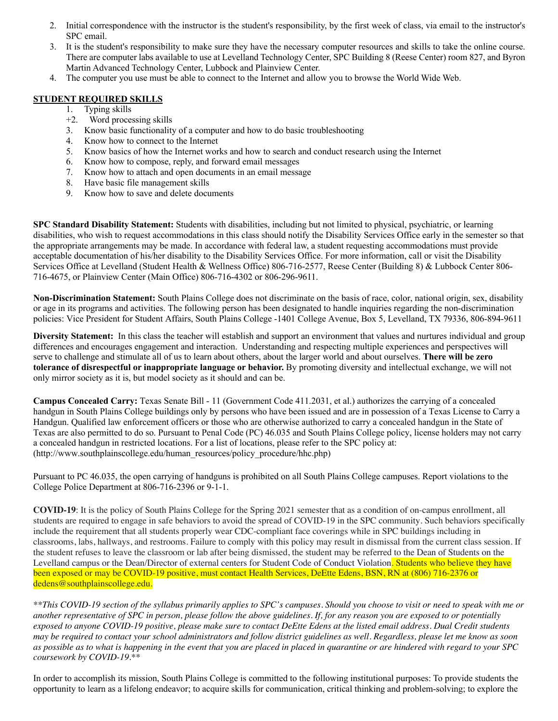- 2. Initial correspondence with the instructor is the student's responsibility, by the first week of class, via email to the instructor's SPC email.
- 3. It is the student's responsibility to make sure they have the necessary computer resources and skills to take the online course. There are computer labs available to use at Levelland Technology Center, SPC Building 8 (Reese Center) room 827, and Byron Martin Advanced Technology Center, Lubbock and Plainview Center.
- 4. The computer you use must be able to connect to the Internet and allow you to browse the World Wide Web.

# **STUDENT REQUIRED SKILLS**

- 1. Typing skills
- +2. Word processing skills
- 3. Know basic functionality of a computer and how to do basic troubleshooting
- 4. Know how to connect to the Internet
- 5. Know basics of how the Internet works and how to search and conduct research using the Internet
- 6. Know how to compose, reply, and forward email messages
- 7. Know how to attach and open documents in an email message
- 8. Have basic file management skills
- 9. Know how to save and delete documents

**SPC Standard Disability Statement:** Students with disabilities, including but not limited to physical, psychiatric, or learning disabilities, who wish to request accommodations in this class should notify the Disability Services Office early in the semester so that the appropriate arrangements may be made. In accordance with federal law, a student requesting accommodations must provide acceptable documentation of his/her disability to the Disability Services Office. For more information, call or visit the Disability Services Office at Levelland (Student Health & Wellness Office) 806-716-2577, Reese Center (Building 8) & Lubbock Center 806- 716-4675, or Plainview Center (Main Office) 806-716-4302 or 806-296-9611.

**Non-Discrimination Statement:** South Plains College does not discriminate on the basis of race, color, national origin, sex, disability or age in its programs and activities. The following person has been designated to handle inquiries regarding the non-discrimination policies: Vice President for Student Affairs, South Plains College -1401 College Avenue, Box 5, Levelland, TX 79336, 806-894-9611

**Diversity Statement:** In this class the teacher will establish and support an environment that values and nurtures individual and group differences and encourages engagement and interaction. Understanding and respecting multiple experiences and perspectives will serve to challenge and stimulate all of us to learn about others, about the larger world and about ourselves. **There will be zero tolerance of disrespectful or inappropriate language or behavior.** By promoting diversity and intellectual exchange, we will not only mirror society as it is, but model society as it should and can be.

**Campus Concealed Carry:** Texas Senate Bill - 11 (Government Code 411.2031, et al.) authorizes the carrying of a concealed handgun in South Plains College buildings only by persons who have been issued and are in possession of a Texas License to Carry a Handgun. Qualified law enforcement officers or those who are otherwise authorized to carry a concealed handgun in the State of Texas are also permitted to do so. Pursuant to Penal Code (PC) 46.035 and South Plains College policy, license holders may not carry a concealed handgun in restricted locations. For a list of locations, please refer to the SPC policy at: (http://www.southplainscollege.edu/human\_resources/policy\_procedure/hhc.php)

Pursuant to PC 46.035, the open carrying of handguns is prohibited on all South Plains College campuses. Report violations to the College Police Department at 806-716-2396 or 9-1-1.

**COVID-19**: It is the policy of South Plains College for the Spring 2021 semester that as a condition of on-campus enrollment, all students are required to engage in safe behaviors to avoid the spread of COVID-19 in the SPC community. Such behaviors specifically include the requirement that all students properly wear CDC-compliant face coverings while in SPC buildings including in classrooms, labs, hallways, and restrooms. Failure to comply with this policy may result in dismissal from the current class session. If the student refuses to leave the classroom or lab after being dismissed, the student may be referred to the Dean of Students on the Levelland campus or the Dean/Director of external centers for Student Code of Conduct Violation. Students who believe they have been exposed or may be COVID-19 positive, must contact Health Services, DeEtte Edens, BSN, RN at (806) 716-2376 or dedens@southplainscollege.edu.

\*\*This COVID-19 section of the syllabus primarily applies to SPC's campuses. Should you choose to visit or need to speak with me or another representative of SPC in person, please follow the above guidelines. If, for any reason you are exposed to or potentially exposed to anyone COVID-19 positive, please make sure to contact DeEtte Edens at the listed email address. Dual Credit students may be required to contact your school administrators and follow district guidelines as well. Regardless, please let me know as soon as possible as to what is happening in the event that you are placed in placed in quarantine or are hindered with regard to your SPC *coursework by COVID-19.\*\**

In order to accomplish its mission, South Plains College is committed to the following institutional purposes: To provide students the opportunity to learn as a lifelong endeavor; to acquire skills for communication, critical thinking and problem-solving; to explore the